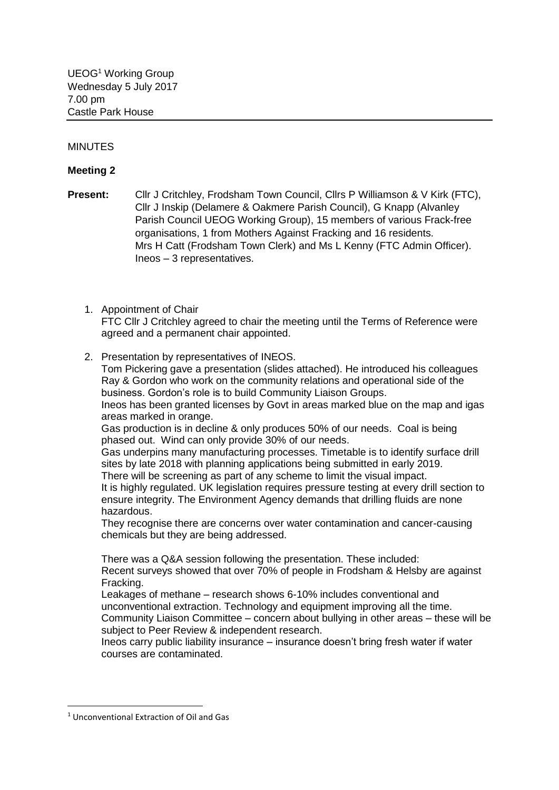## MINUTES

## **Meeting 2**

**Present:** Cllr J Critchley, Frodsham Town Council, Cllrs P Williamson & V Kirk (FTC), Cllr J Inskip (Delamere & Oakmere Parish Council), G Knapp (Alvanley Parish Council UEOG Working Group), 15 members of various Frack-free organisations, 1 from Mothers Against Fracking and 16 residents. Mrs H Catt (Frodsham Town Clerk) and Ms L Kenny (FTC Admin Officer). Ineos – 3 representatives.

1. Appointment of Chair

FTC Cllr J Critchley agreed to chair the meeting until the Terms of Reference were agreed and a permanent chair appointed.

2. Presentation by representatives of INEOS.

Tom Pickering gave a presentation (slides attached). He introduced his colleagues Ray & Gordon who work on the community relations and operational side of the business. Gordon's role is to build Community Liaison Groups. Ineos has been granted licenses by Govt in areas marked blue on the map and igas areas marked in orange. Gas production is in decline & only produces 50% of our needs. Coal is being phased out. Wind can only provide 30% of our needs.

Gas underpins many manufacturing processes. Timetable is to identify surface drill sites by late 2018 with planning applications being submitted in early 2019. There will be screening as part of any scheme to limit the visual impact. It is highly regulated. UK legislation requires pressure testing at every drill section to

ensure integrity. The Environment Agency demands that drilling fluids are none hazardous.

They recognise there are concerns over water contamination and cancer-causing chemicals but they are being addressed.

There was a Q&A session following the presentation. These included: Recent surveys showed that over 70% of people in Frodsham & Helsby are against Fracking.

Leakages of methane – research shows 6-10% includes conventional and unconventional extraction. Technology and equipment improving all the time. Community Liaison Committee – concern about bullying in other areas – these will be subject to Peer Review & independent research.

Ineos carry public liability insurance – insurance doesn't bring fresh water if water courses are contaminated.

**.** 

<sup>1</sup> Unconventional Extraction of Oil and Gas